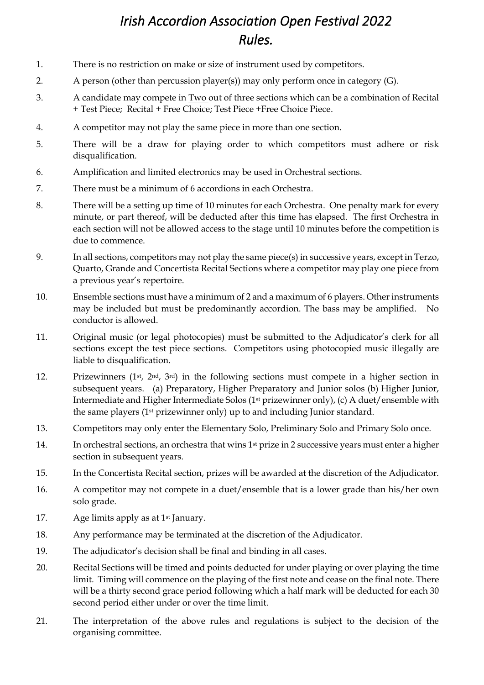## *Irish Accordion Association Open Festival 2022 Rules.*

- 1. There is no restriction on make or size of instrument used by competitors.
- 2. A person (other than percussion player(s)) may only perform once in category (G).
- 3. A candidate may compete in Two out of three sections which can be a combination of Recital + Test Piece; Recital + Free Choice; Test Piece +Free Choice Piece.
- 4. A competitor may not play the same piece in more than one section.
- 5. There will be a draw for playing order to which competitors must adhere or risk disqualification.
- 6. Amplification and limited electronics may be used in Orchestral sections.
- 7. There must be a minimum of 6 accordions in each Orchestra.
- 8. There will be a setting up time of 10 minutes for each Orchestra. One penalty mark for every minute, or part thereof, will be deducted after this time has elapsed. The first Orchestra in each section will not be allowed access to the stage until 10 minutes before the competition is due to commence.
- 9. In all sections, competitors may not play the same piece(s) in successive years, except in Terzo, Quarto, Grande and Concertista Recital Sections where a competitor may play one piece from a previous year's repertoire.
- 10. Ensemble sections must have a minimum of 2 and a maximum of 6 players. Other instruments may be included but must be predominantly accordion. The bass may be amplified. No conductor is allowed.
- 11. Original music (or legal photocopies) must be submitted to the Adjudicator's clerk for all sections except the test piece sections. Competitors using photocopied music illegally are liable to disqualification.
- 12. Prizewinners (1<sup>st</sup>, 2<sup>nd</sup>, 3<sup>rd</sup>) in the following sections must compete in a higher section in subsequent years. (a) Preparatory, Higher Preparatory and Junior solos (b) Higher Junior, Intermediate and Higher Intermediate Solos (1st prizewinner only), (c) A duet/ensemble with the same players (1st prizewinner only) up to and including Junior standard.
- 13. Competitors may only enter the Elementary Solo, Preliminary Solo and Primary Solo once.
- 14. In orchestral sections, an orchestra that wins 1st prize in 2 successive years must enter a higher section in subsequent years.
- 15. In the Concertista Recital section, prizes will be awarded at the discretion of the Adjudicator.
- 16. A competitor may not compete in a duet/ensemble that is a lower grade than his/her own solo grade.
- 17. Age limits apply as at 1<sup>st</sup> January.
- 18. Any performance may be terminated at the discretion of the Adjudicator.
- 19. The adjudicator's decision shall be final and binding in all cases.
- 20. Recital Sections will be timed and points deducted for under playing or over playing the time limit. Timing will commence on the playing of the first note and cease on the final note. There will be a thirty second grace period following which a half mark will be deducted for each 30 second period either under or over the time limit.
- 21. The interpretation of the above rules and regulations is subject to the decision of the organising committee.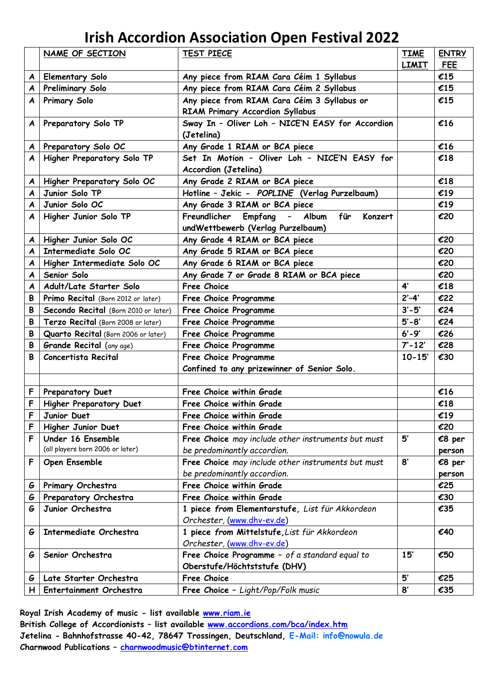## **Irish Accordion Association Open Festival 2022**

|   | NAME OF SECTION                      | <b>TEST PIECE</b>                                  | <b>TIME</b>  | <b>ENTRY</b> |
|---|--------------------------------------|----------------------------------------------------|--------------|--------------|
|   |                                      |                                                    | <b>LIMIT</b> | <b>FEE</b>   |
| A | <b>Elementary Solo</b>               | Any piece from RIAM Cara Céim 1 Syllabus           |              | £15          |
| A | <b>Preliminary Solo</b>              | Any piece from RIAM Cara Céim 2 Syllabus           |              | £15          |
| A | Primary Solo                         | Any piece from RIAM Cara Céim 3 Syllabus or        |              | £15          |
|   |                                      | <b>RIAM Primary Accordion Syllabus</b>             |              |              |
| A | Preparatory Solo TP                  | Sway In - Oliver Loh - NICE'N EASY for Accordion   |              | £16          |
|   |                                      | (Jetelina)                                         |              |              |
| A | Preparatory Solo OC                  | Any Grade 1 RIAM or BCA piece                      |              | £16          |
| A | Higher Preparatory Solo TP           | Set In Motion - Oliver Loh - NICE'N EASY for       |              | £18          |
|   |                                      | Accordion (Jetelina)                               |              |              |
| A | Higher Preparatory Solo OC           | Any Grade 2 RIAM or BCA piece                      |              | €18          |
| A | Junior Solo TP                       | Hotline - Jekic - POPLINE (Verlag Purzelbaum)      |              | £19          |
| A | Junior Solo OC                       | Any Grade 3 RIAM or BCA piece                      |              | £19          |
| A | Higher Junior Solo TP                | für<br>Freundlicher Empfang - Album<br>Konzert     |              | €20          |
|   |                                      | undWettbewerb (Verlag Purzelbaum)                  |              |              |
| A | Higher Junior Solo OC                | Any Grade 4 RIAM or BCA piece                      |              | €20          |
| A | Intermediate Solo OC                 | Any Grade 5 RIAM or BCA piece                      |              | €20          |
| A | Higher Intermediate Solo OC          | Any Grade 6 RIAM or BCA piece                      |              | €20          |
| A | Senior Solo                          | Any Grade 7 or Grade 8 RIAM or BCA piece           |              | €20          |
| A | Adult/Late Starter Solo              | Free Choice                                        | $4^{\prime}$ | €18          |
| B | Primo Recital (Born 2012 or later)   | Free Choice Programme                              | $2' - 4'$    | €22          |
| В | Secondo Recital (Born 2010 or later) | Free Choice Programme                              | $3' - 5'$    | €24          |
| B | Terzo Recital (Born 2008 or later)   | Free Choice Programme                              | $5' - 8'$    | €24          |
| B | Quarto Recital (Born 2006 or later)  | Free Choice Programme                              | $6' - 9'$    | €26          |
| B | <b>Grande Recital</b> (any age)      | Free Choice Programme                              | $7' - 12'$   | €28          |
| B | Concertista Recital                  | Free Choice Programme                              | $10 - 15'$   | €30          |
|   |                                      | Confined to any prizewinner of Senior Solo.        |              |              |
|   |                                      |                                                    |              |              |
| F | Preparatory Duet                     | Free Choice within Grade                           |              | £16          |
| F | Higher Preparatory Duet              | Free Choice within Grade                           |              | €18          |
| F | Junior Duet                          | Free Choice within Grade                           |              | £19          |
| F | Higher Junior Duet                   | Free Choice within Grade                           |              | €20          |
| F | Under 16 Ensemble                    | Free Choice may include other instruments but must | 5'           | €8 per       |
|   | (all players born 2006 or later)     | be predominantly accordion.                        |              | person       |
| F | Open Ensemble                        | Free Choice may include other instruments but must | 8'           | €8 per       |
|   |                                      | be predominantly accordion.                        |              | person       |
| G | Primary Orchestra                    | Free Choice within Grade                           |              | €25          |
| G | Preparatory Orchestra                | Free Choice within Grade                           |              | €30          |
| G | Junior Orchestra                     | 1 piece from Elementarstufe, List für Akkordeon    |              | €35          |
|   |                                      | Orchester, (www.dhv-ev.de)                         |              |              |
| G | Intermediate Orchestra               | 1 piece from Mittelstufe, List für Akkordeon       |              | €40          |
|   |                                      | Orchester, (www.dhv-ev.de)                         |              |              |
| G | Senior Orchestra                     | Free Choice Programme - of a standard equal to     | 15'          | €50          |
|   |                                      | Oberstufe/Höchtststufe (DHV)                       |              |              |
| G | Late Starter Orchestra               | Free Choice                                        | 5'           | €25          |
| H | Entertainment Orchestra              | Free Choice - Light/Pop/Folk music                 | 8'           | €35          |

**Royal Irish Academy of music - list available [www.riam.ie](http://www.riam.ie/) British College of Accordionists – list available [www.accordions.com/bca/index.htm](http://www.accordions.com/bca/index.htm) Jetelina - Bahnhofstrasse 40-42, 78647 Trossingen, Deutschland, E-Mail: [info@nowula.de](mailto:info@nowula.de) Charnwood Publications – [charnwoodmusic@btinternet.com](mailto:charnwoodmusic@btinternet.com)**